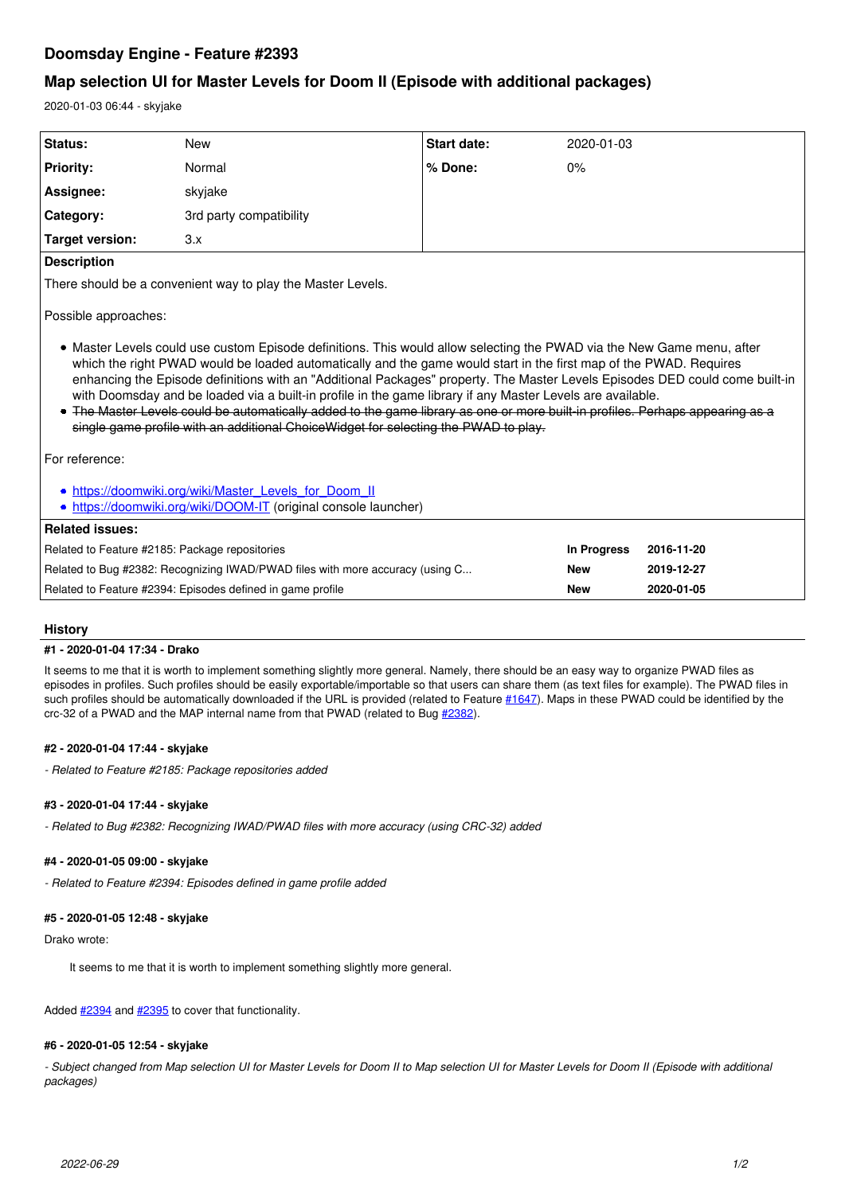# **Doomsday Engine - Feature #2393**

# **Map selection UI for Master Levels for Doom II (Episode with additional packages)**

2020-01-03 06:44 - skyjake

| <b>Status:</b>                                                                                                                                                                                                                                                                                                                                                                                                                                                                                                                                                                                                                                                                                                                              | <b>New</b>              | Start date: | 2020-01-03                |
|---------------------------------------------------------------------------------------------------------------------------------------------------------------------------------------------------------------------------------------------------------------------------------------------------------------------------------------------------------------------------------------------------------------------------------------------------------------------------------------------------------------------------------------------------------------------------------------------------------------------------------------------------------------------------------------------------------------------------------------------|-------------------------|-------------|---------------------------|
| <b>Priority:</b>                                                                                                                                                                                                                                                                                                                                                                                                                                                                                                                                                                                                                                                                                                                            | Normal                  | % Done:     | 0%                        |
| Assignee:                                                                                                                                                                                                                                                                                                                                                                                                                                                                                                                                                                                                                                                                                                                                   | skyjake                 |             |                           |
| Category:                                                                                                                                                                                                                                                                                                                                                                                                                                                                                                                                                                                                                                                                                                                                   | 3rd party compatibility |             |                           |
| Target version:                                                                                                                                                                                                                                                                                                                                                                                                                                                                                                                                                                                                                                                                                                                             | 3.x                     |             |                           |
| <b>Description</b>                                                                                                                                                                                                                                                                                                                                                                                                                                                                                                                                                                                                                                                                                                                          |                         |             |                           |
| There should be a convenient way to play the Master Levels.                                                                                                                                                                                                                                                                                                                                                                                                                                                                                                                                                                                                                                                                                 |                         |             |                           |
| Possible approaches:<br>• Master Levels could use custom Episode definitions. This would allow selecting the PWAD via the New Game menu, after<br>which the right PWAD would be loaded automatically and the game would start in the first map of the PWAD. Requires<br>enhancing the Episode definitions with an "Additional Packages" property. The Master Levels Episodes DED could come built-in<br>with Doomsday and be loaded via a built-in profile in the game library if any Master Levels are available.<br>• The Master Levels could be automatically added to the game library as one or more built in profiles. Perhaps appearing as a<br>single game profile with an additional Choice Widget for selecting the PWAD to play. |                         |             |                           |
| For reference:                                                                                                                                                                                                                                                                                                                                                                                                                                                                                                                                                                                                                                                                                                                              |                         |             |                           |
| . https://doomwiki.org/wiki/Master Levels for Doom II<br>• https://doomwiki.org/wiki/DOOM-IT (original console launcher)                                                                                                                                                                                                                                                                                                                                                                                                                                                                                                                                                                                                                    |                         |             |                           |
| <b>Related issues:</b>                                                                                                                                                                                                                                                                                                                                                                                                                                                                                                                                                                                                                                                                                                                      |                         |             |                           |
| Related to Feature #2185: Package repositories                                                                                                                                                                                                                                                                                                                                                                                                                                                                                                                                                                                                                                                                                              |                         |             | In Progress<br>2016-11-20 |

Related to Bug #2382: Recognizing IWAD/PWAD files with more accuracy (using C... **New 2019-12-27**

Related to Feature #2394: Episodes defined in game profile **New 2020-01-05**

## **History**

## **#1 - 2020-01-04 17:34 - Drako**

It seems to me that it is worth to implement something slightly more general. Namely, there should be an easy way to organize PWAD files as episodes in profiles. Such profiles should be easily exportable/importable so that users can share them (as text files for example). The PWAD files in such profiles should be automatically downloaded if the URL is provided (related to Feature [#1647](http://skyjake.fi/issues/1647)). Maps in these PWAD could be identified by the crc-32 of a PWAD and the MAP internal name from that PWAD (related to Bug [#2382\)](http://skyjake.fi/issues/2382).

## **#2 - 2020-01-04 17:44 - skyjake**

*- Related to Feature #2185: Package repositories added*

## **#3 - 2020-01-04 17:44 - skyjake**

*- Related to Bug #2382: Recognizing IWAD/PWAD files with more accuracy (using CRC-32) added*

## **#4 - 2020-01-05 09:00 - skyjake**

*- Related to Feature #2394: Episodes defined in game profile added*

## **#5 - 2020-01-05 12:48 - skyjake**

Drako wrote:

It seems to me that it is worth to implement something slightly more general.

Added  $\frac{\#2394}{\#2395}$  to cover that functionality.

## **#6 - 2020-01-05 12:54 - skyjake**

*- Subject changed from Map selection UI for Master Levels for Doom II to Map selection UI for Master Levels for Doom II (Episode with additional packages)*